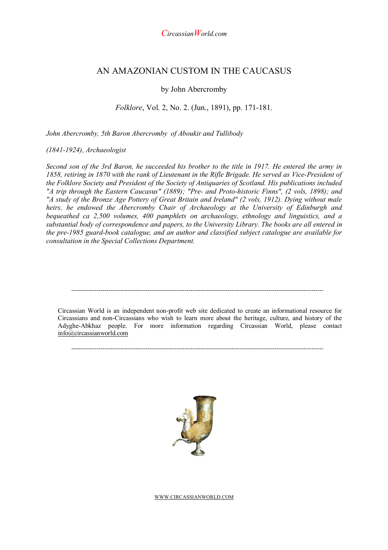# AN AMAZONIAN CUSTOM IN THE CAUCASUS

### by John Abercromby

#### *Folklore*, Vol. 2, No. 2. (Jun., 1891), pp. 171-181.

*John Abercromby, 5th Baron Abercromby of Aboukir and Tullibody* 

#### *(1841-1924), Archaeologist*

*Second son of the 3rd Baron, he succeeded his brother to the title in 1917. He entered the army in 1858, retiring in 1870 with the rank of Lieutenant in the Rifle Brigade. He served as Vice-President of the Folklore Society and President of the Society of Antiquaries of Scotland. His publications included "A trip through the Eastern Caucasus" (1889); "Pre- and Proto-historic Finns", (2 vols, 1898); and "A study of the Bronze Age Pottery of Great Britain and Ireland" (2 vols, 1912). Dying without male heirs, he endowed the Abercromby Chair of Archaeology at the University of Edinburgh and bequeathed ca 2,500 volumes, 400 pamphlets on archaeology, ethnology and linguistics, and a substantial body of correspondence and papers, to the University Library. The books are all entered in the pre-1985 guard-book catalogue, and an author and classified subject catalogue are available for consultation in the Special Collections Department.* 

---------------------------------------------------------------------------------------------------------------------------------

Circassian World is an independent non-profit web site dedicated to create an informational resource for Circassians and non-Circassians who wish to learn more about the heritage, culture, and history of the Adyghe-Abkhaz people. For more information regarding Circassian World, please contact info@circassianworld.com

---------------------------------------------------------------------------------------------------------------------------------



WWW.CIRCASSIANWORLD.COM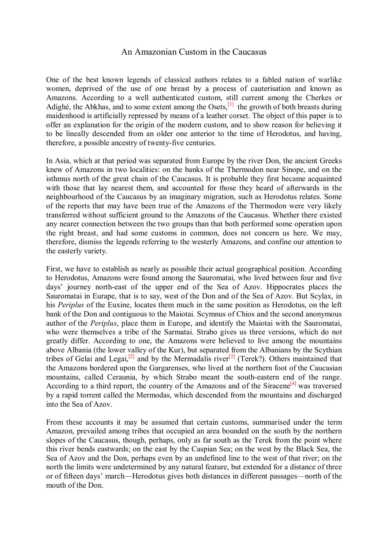## An Amazonian Custom in the Caucasus

One of the best known legends of classical authors relates to a fabled nation of warlike women, deprived of the use of one breast by a process of cauterisation and known as Amazons. According to a well authenticated custom, still current among the Cherkes or Adighé, the Abkhas, and to some extent among the Osets,  $\begin{bmatrix} 1 \end{bmatrix}$  the growth of both breasts during maidenhood is artificially repressed by means of a leather corset. The object of this paper is to offer an explanation for the origin of the modern custom, and to show reason for believing it to be lineally descended from an older one anterior to the time of Herodotus, and having, therefore, a possible ancestry of twenty-five centuries.

In Asia, which at that period was separated from Europe by the river Don, the ancient Greeks knew of Amazons in two localities: on the banks of the Thermodon near Sinope, and on the isthmus north of the great chain of the Caucasus. It is probable they first became acquainted with those that lay nearest them, and accounted for those they heard of afterwards in the neighbourhood of the Caucasus by an imaginary migration, such as Herodotus relates. Some of the reports that may have been true of the Amazons of the Thermodon were very likely transferred without sufficient ground to the Amazons of the Caucasus. Whether there existed any nearer connection between the two groups than that both performed some operation upon the right breast, and had some customs in common, does not concern us here. We may, therefore, dismiss the legends referring to the westerly Amazons, and confine our attention to the easterly variety.

First, we have to establish as nearly as possible their actual geographical position. According to Herodotus, Amazons were found among the Sauromatai, who lived between four and five days' journey north-east of the upper end of the Sea of Azov. Hippocrates places the Sauromatai in Eurape, that is to say, west of the Don and of the Sea of Azov. But Scylax, in his *Periplus* of the Euxine, locates them much in the same position as Herodotus, on the left bank of the Don and contiguous to the Maiotai. Scymnus of Chios and the second anonymous author of the *Periplus*, place them in Europe, and identify the Maiotai with the Sauromatai, who were themselves a tribe of the Sarmatai. Strabo gives us three versions, which do not greatly differ. According to one, the Amazons were believed to live among the mountains above Albania (the lower valley of the Kur), but separated from the Albanians by the Scythian tribes of Gelai and Legai,<sup>[2]</sup> and by the Mermadalis river<sup>[3]</sup> (Terek?). Others maintained that the Amazons bordered upon the Gargarenses, who lived at the northern foot of the Caucasian mountains, called Ceraunia, by which Strabo meant the south-eastern end of the range. According to a third report, the country of the Amazons and of the Siracene<sup>[4]</sup> was traversed by a rapid torrent called the Mermodas, which descended from the mountains and discharged into the Sea of Azov.

From these accounts it may be assumed that certain customs, summarised under the term Amazon, prevailed among tribes that occupied an area bounded on the south by the northern slopes of the Caucasus, though, perhaps, only as far south as the Terek from the point where this river bends eastwards; on the east by the Caspian Sea; on the west by the Black Sea, the Sea of Azov and the Don, perhaps even by an undefined line to the west of that river; on the north the limits were undetermined by any natural feature, but extended for a distance of three or of fifteen days' march—Herodotus gives both distances in different passages—north of the mouth of the Don.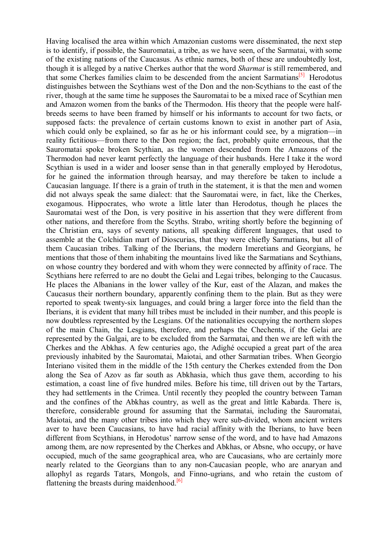Having localised the area within which Amazonian customs were disseminated, the next step is to identify, if possible, the Sauromatai, a tribe, as we have seen, of the Sarmatai, with some of the existing nations of the Caucasus. As ethnic names, both of these are undoubtedly lost, though it is alleged by a native Cherkes author that the word *Sharmat* is still remembered, and that some Cherkes families claim to be descended from the ancient Sarmatians<sup>[5]</sup> Herodotus distinguishes between the Scythians west of the Don and the non-Scythians to the east of the river, though at the same time he supposes the Sauromatai to be a mixed race of Scythian men and Amazon women from the banks of the Thermodon. His theory that the people were halfbreeds seems to have been framed by himself or his informants to account for two facts, or supposed facts: the prevalence of certain customs known to exist in another part of Asia, which could only be explained, so far as he or his informant could see, by a migration—in reality fictitious—from there to the Don region; the fact, probably quite erroneous, that the Sauromatai spoke broken Scythian, as the women descended from the Amazons of the Thermodon had never learnt perfectly the language of their husbands. Here I take it the word Scythian is used in a wider and looser sense than in that generally employed by Herodotus, for he gained the information through hearsay, and may therefore be taken to include a Caucasian language. If there is a grain of truth in the statement, it is that the men and women did not always speak the same dialect: that the Sauromatai were, in fact, like the Cherkes, exogamous. Hippocrates, who wrote a little later than Herodotus, though he places the Sauromatai west of the Don, is very positive in his assertion that they were different from other nations, and therefore from the Scyths. Strabo, writing shortly before the beginning of the Christian era, says of seventy nations, all speaking different languages, that used to assemble at the Colchidian mart of Dioscurias, that they were chiefly Sarmatians, but all of them Caucasian tribes. Talking of the Iberians, the modern Imeretians and Georgians, he mentions that those of them inhabiting the mountains lived like the Sarmatians and Scythians, on whose country they bordered and with whom they were connected by affinity of race. The Scythians here referred to are no doubt the Gelai and Legai tribes, belonging to the Caucasus. He places the Albanians in the lower valley of the Kur, east of the Alazan, and makes the Caucasus their northern boundary, apparently confining them to the plain. But as they were reported to speak twenty-six languages, and could bring a larger force into the field than the Iberians, it is evident that many hill tribes must be included in their number, and this people is now doubtless represented by the Lesgians. Of the nationalities occupying the northern slopes of the main Chain, the Lesgians, therefore, and perhaps the Chechents, if the Gelai are represented by the Galgai, are to be excluded from the Sarmatai, and then we are left with the Cherkes and the Abkhas. A few centuries ago, the Adighé occupied a great part of the area previously inhabited by the Sauromatai, Maiotai, and other Sarmatian tribes. When Georgio Interiano visited them in the middle of the 15th century the Cherkes extended from the Don along the Sea of Azov as far south as Abkhasia, which thus gave them, according to his estimation, a coast line of five hundred miles. Before his time, till driven out by the Tartars, they had settlements in the Crimea. Until recently they peopled the country between Taman and the confines of the Abkhas country, as well as the great and little Kabarda. There is, therefore, considerable ground for assuming that the Sarmatai, including the Sauromatai, Maiotai, and the many other tribes into which they were sub-divided, whom ancient writers aver to have been Caucasians, to have had racial affinity with the Iberians, to have been different from Scythians, in Herodotus' narrow sense of the word, and to have had Amazons among them, are now represented by the Cherkes and Abkhas, or Absne, who occupy, or have occupied, much of the same geographical area, who are Caucasians, who are certainly more nearly related to the Georgians than to any non-Caucasian people, who are anaryan and allophyl as regards Tatars, Mongols, and Finno-ugrians, and who retain the custom of flattening the breasts during maidenhood.<sup>[6]</sup>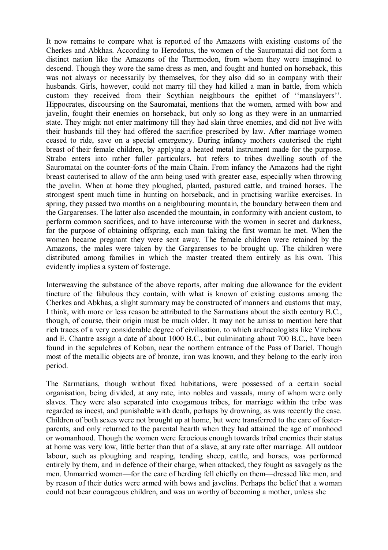It now remains to compare what is reported of the Amazons with existing customs of the Cherkes and Abkhas. According to Herodotus, the women of the Sauromatai did not form a distinct nation like the Amazons of the Thermodon, from whom they were imagined to descend. Though they wore the same dress as men, and fought and hunted on horseback, this was not always or necessarily by themselves, for they also did so in company with their husbands. Girls, however, could not marry till they had killed a man in battle, from which custom they received from their Scythian neighbours the epithet of ''manslayers''. Hippocrates, discoursing on the Sauromatai, mentions that the women, armed with bow and javelin, fought their enemies on horseback, but only so long as they were in an unmarried state. They might not enter matrimony till they had slain three enemies, and did not live with their husbands till they had offered the sacrifice prescribed by law. After marriage women ceased to ride, save on a special emergency. During infancy mothers cauterised the right breast of their female children, by applying a heated metal instrument made for the purpose. Strabo enters into rather fuller particulars, but refers to tribes dwelling south of the Sauromatai on the counter-forts of the main Chain. From infancy the Amazons had the right breast cauterised to allow of the arm being used with greater ease, especially when throwing the javelin. When at home they ploughed, planted, pastured cattle, and trained horses. The strongest spent much time in hunting on horseback, and in practising warlike exercises. In spring, they passed two months on a neighbouring mountain, the boundary between them and the Gargarenses. The latter also ascended the mountain, in conformity with ancient custom, to perform common sacrifices, and to have intercourse with the women in secret and darkness, for the purpose of obtaining offspring, each man taking the first woman he met. When the women became pregnant they were sent away. The female children were retained by the Amazons, the males were taken by the Gargarenses to be brought up. The children were distributed among families in which the master treated them entirely as his own. This evidently implies a system of fosterage.

Interweaving the substance of the above reports, after making due allowance for the evident tincture of the fabulous they contain, with what is known of existing customs among the Cherkes and Abkhas, a slight summary may be constructed of manners and customs that may, I think, with more or less reason be attributed to the Sarmatians about the sixth century B.C., though, of course, their origin must be much older. It may not be amiss to mention here that rich traces of a very considerable degree of civilisation, to which archaeologists like Virchow and E. Chantre assign a date of about 1000 B.C., but culminating about 700 B.C., have been found in the sepulchres of Koban, near the northern entrance of the Pass of Dariel. Though most of the metallic objects are of bronze, iron was known, and they belong to the early iron period.

The Sarmatians, though without fixed habitations, were possessed of a certain social organisation, being divided, at any rate, into nobles and vassals, many of whom were only slaves. They were also separated into exogamous tribes, for marriage within the tribe was regarded as incest, and punishable with death, perhaps by drowning, as was recently the case. Children of both sexes were not brought up at home, but were transferred to the care of fosterparents, and only returned to the parental hearth when they had attained the age of manhood or womanhood. Though the women were ferocious enough towards tribal enemies their status at home was very low, little better than that of a slave, at any rate after marriage. All outdoor labour, such as ploughing and reaping, tending sheep, cattle, and horses, was performed entirely by them, and in defence of their charge, when attacked, they fought as savagely as the men. Unmarried women—for the care of herding fell chiefly on them—dressed like men, and by reason of their duties were armed with bows and javelins. Perhaps the belief that a woman could not bear courageous children, and was un worthy of becoming a mother, unless she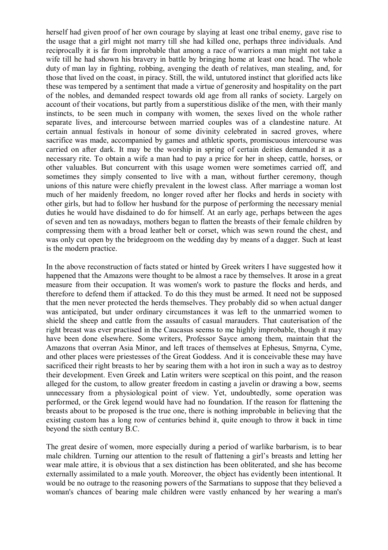herself had given proof of her own courage by slaying at least one tribal enemy, gave rise to the usage that a girl might not marry till she had killed one, perhaps three individuals. And reciprocally it is far from improbable that among a race of warriors a man might not take a wife till he had shown his bravery in battle by bringing home at least one head. The whole duty of man lay in fighting, robbing, avenging the death of relatives, man stealing, and, for those that lived on the coast, in piracy. Still, the wild, untutored instinct that glorified acts like these was tempered by a sentiment that made a virtue of generosity and hospitality on the part of the nobles, and demanded respect towards old age from all ranks of society. Largely on account of their vocations, but partly from a superstitious dislike of the men, with their manly instincts, to be seen much in company with women, the sexes lived on the whole rather separate lives, and intercourse between married couples was of a clandestine nature. At certain annual festivals in honour of some divinity celebrated in sacred groves, where sacrifice was made, accompanied by games and athletic sports, promiscuous intercourse was carried on after dark. It may be the worship in spring of certain deities demanded it as a necessary rite. To obtain a wife a man had to pay a price for her in sheep, cattle, horses, or other valuables. But concurrent with this usage women were sometimes carried off, and sometimes they simply consented to live with a man, without further ceremony, though unions of this nature were chiefly prevalent in the lowest class. After marriage a woman lost much of her maidenly freedom, no longer roved after her flocks and herds in society with other girls, but had to follow her husband for the purpose of performing the necessary menial duties he would have disdained to do for himself. At an early age, perhaps between the ages of seven and ten as nowadays, mothers began to flatten the breasts of their female children by compressing them with a broad leather belt or corset, which was sewn round the chest, and was only cut open by the bridegroom on the wedding day by means of a dagger. Such at least is the modern practice.

In the above reconstruction of facts stated or hinted by Greek writers I have suggested how it happened that the Amazons were thought to be almost a race by themselves. It arose in a great measure from their occupation. It was women's work to pasture the flocks and herds, and therefore to defend them if attacked. To do this they must be armed. It need not be supposed that the men never protected the herds themselves. They probably did so when actual danger was anticipated, but under ordinary circumstances it was left to the unmarried women to shield the sheep and cattle from the assaults of casual marauders. That cauterisation of the right breast was ever practised in the Caucasus seems to me highly improbable, though it may have been done elsewhere. Some writers, Professor Sayce among them, maintain that the Amazons that overran Asia Minor, and left traces of themselves at Ephesus, Smyrna, Cyme, and other places were priestesses of the Great Goddess. And it is conceivable these may have sacrificed their right breasts to her by searing them with a hot iron in such a way as to destroy their development. Even Greek and Latin writers were sceptical on this point, and the reason alleged for the custom, to allow greater freedom in casting a javelin or drawing a bow, seems unnecessary from a physiological point of view. Yet, undoubtedly, some operation was performed, or the Grek legend would have had no foundation. If the reason for flattening the breasts about to be proposed is the true one, there is nothing improbable in believing that the existing custom has a long row of centuries behind it, quite enough to throw it back in time beyond the sixth century B.C.

The great desire of women, more especially during a period of warlike barbarism, is to bear male children. Turning our attention to the result of flattening a girl's breasts and letting her wear male attire, it is obvious that a sex distinction has been obliterated, and she has become externally assimilated to a male youth. Moreover, the object has evidently been intentional. It would be no outrage to the reasoning powers of the Sarmatians to suppose that they believed a woman's chances of bearing male children were vastly enhanced by her wearing a man's